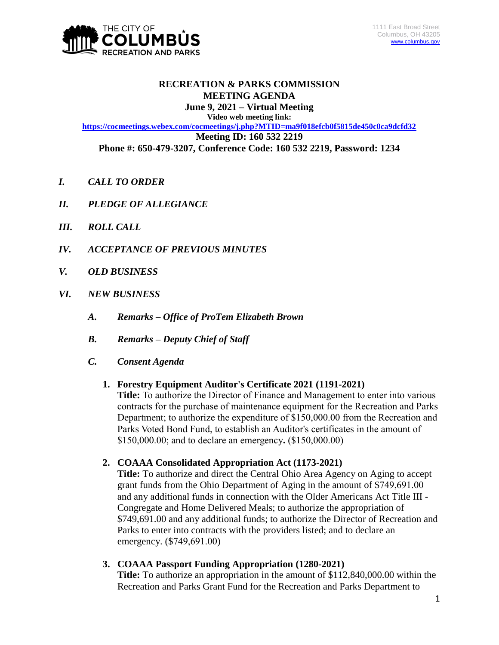

# **RECREATION & PARKS COMMISSION MEETING AGENDA**

**June 9, 2021 – Virtual Meeting Video web meeting link:**

**<https://cocmeetings.webex.com/cocmeetings/j.php?MTID=ma9f018efcb0f5815de450c0ca9dcfd32> Meeting ID: 160 532 2219 Phone #: 650-479-3207, Conference Code: 160 532 2219, Password: 1234**

- *I. CALL TO ORDER*
- *II. PLEDGE OF ALLEGIANCE*
- *III. ROLL CALL*
- *IV. ACCEPTANCE OF PREVIOUS MINUTES*
- *V. OLD BUSINESS*
- *VI. NEW BUSINESS*
	- *A. Remarks – Office of ProTem Elizabeth Brown*
	- *B. Remarks – Deputy Chief of Staff*
	- *C. Consent Agenda*

## **1. Forestry Equipment Auditor's Certificate 2021 (1191-2021)**

**Title:** To authorize the Director of Finance and Management to enter into various contracts for the purchase of maintenance equipment for the Recreation and Parks Department; to authorize the expenditure of \$150,000.00 from the Recreation and Parks Voted Bond Fund, to establish an Auditor's certificates in the amount of \$150,000.00; and to declare an emergency**.** (\$150,000.00)

# **2. COAAA Consolidated Appropriation Act (1173-2021)**

**Title:** To authorize and direct the Central Ohio Area Agency on Aging to accept grant funds from the Ohio Department of Aging in the amount of \$749,691.00 and any additional funds in connection with the Older Americans Act Title III - Congregate and Home Delivered Meals; to authorize the appropriation of \$749,691.00 and any additional funds; to authorize the Director of Recreation and Parks to enter into contracts with the providers listed; and to declare an emergency. (\$749,691.00)

# **3. COAAA Passport Funding Appropriation (1280-2021)**

**Title:** To authorize an appropriation in the amount of \$112,840,000.00 within the Recreation and Parks Grant Fund for the Recreation and Parks Department to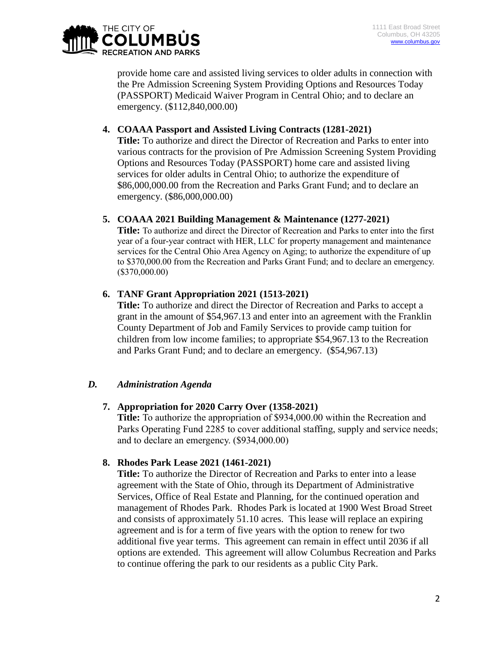

provide home care and assisted living services to older adults in connection with the Pre Admission Screening System Providing Options and Resources Today (PASSPORT) Medicaid Waiver Program in Central Ohio; and to declare an emergency. (\$112,840,000.00)

## **4. COAAA Passport and Assisted Living Contracts (1281-2021)**

**Title:** To authorize and direct the Director of Recreation and Parks to enter into various contracts for the provision of Pre Admission Screening System Providing Options and Resources Today (PASSPORT) home care and assisted living services for older adults in Central Ohio; to authorize the expenditure of \$86,000,000.00 from the Recreation and Parks Grant Fund; and to declare an emergency. (\$86,000,000.00)

# **5. COAAA 2021 Building Management & Maintenance (1277-2021)**

**Title:** To authorize and direct the Director of Recreation and Parks to enter into the first year of a four-year contract with HER, LLC for property management and maintenance services for the Central Ohio Area Agency on Aging; to authorize the expenditure of up to \$370,000.00 from the Recreation and Parks Grant Fund; and to declare an emergency. (\$370,000.00)

# **6. TANF Grant Appropriation 2021 (1513-2021)**

**Title:** To authorize and direct the Director of Recreation and Parks to accept a grant in the amount of \$54,967.13 and enter into an agreement with the Franklin County Department of Job and Family Services to provide camp tuition for children from low income families; to appropriate \$54,967.13 to the Recreation and Parks Grant Fund; and to declare an emergency. (\$54,967.13)

# *D. Administration Agenda*

## **7. Appropriation for 2020 Carry Over (1358-2021)**

**Title:** To authorize the appropriation of \$934,000.00 within the Recreation and Parks Operating Fund 2285 to cover additional staffing, supply and service needs; and to declare an emergency. (\$934,000.00)

## **8. Rhodes Park Lease 2021 (1461-2021)**

**Title:** To authorize the Director of Recreation and Parks to enter into a lease agreement with the State of Ohio, through its Department of Administrative Services, Office of Real Estate and Planning, for the continued operation and management of Rhodes Park. Rhodes Park is located at 1900 West Broad Street and consists of approximately 51.10 acres. This lease will replace an expiring agreement and is for a term of five years with the option to renew for two additional five year terms. This agreement can remain in effect until 2036 if all options are extended. This agreement will allow Columbus Recreation and Parks to continue offering the park to our residents as a public City Park.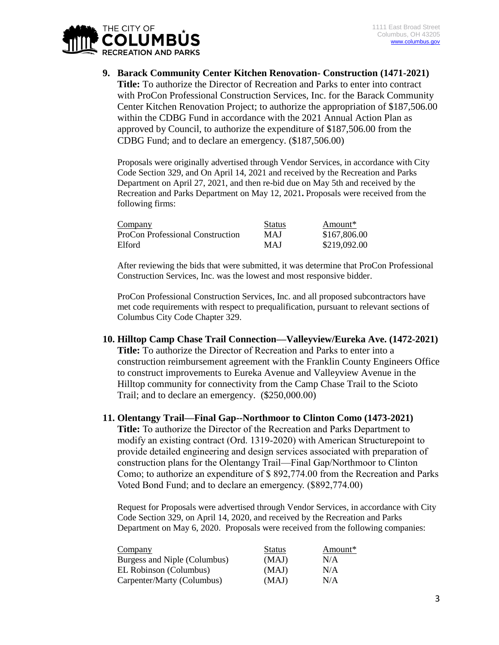

**9. Barack Community Center Kitchen Renovation- Construction (1471-2021) Title:** To authorize the Director of Recreation and Parks to enter into contract with ProCon Professional Construction Services, Inc. for the Barack Community Center Kitchen Renovation Project; to authorize the appropriation of \$187,506.00 within the CDBG Fund in accordance with the 2021 Annual Action Plan as approved by Council, to authorize the expenditure of \$187,506.00 from the CDBG Fund; and to declare an emergency. (\$187,506.00)

Proposals were originally advertised through Vendor Services, in accordance with City Code Section 329, and On April 14, 2021 and received by the Recreation and Parks Department on April 27, 2021, and then re-bid due on May 5th and received by the Recreation and Parks Department on May 12, 2021**.** Proposals were received from the following firms:

| Company                          | <b>Status</b> | Amount*      |
|----------------------------------|---------------|--------------|
| ProCon Professional Construction | <b>MAJ</b>    | \$167,806.00 |
| Elford                           | <b>MAJ</b>    | \$219,092.00 |

After reviewing the bids that were submitted, it was determine that ProCon Professional Construction Services, Inc. was the lowest and most responsive bidder.

ProCon Professional Construction Services, Inc. and all proposed subcontractors have met code requirements with respect to prequalification, pursuant to relevant sections of Columbus City Code Chapter 329.

**10. Hilltop Camp Chase Trail Connection—Valleyview/Eureka Ave. (1472-2021) Title:** To authorize the Director of Recreation and Parks to enter into a construction reimbursement agreement with the Franklin County Engineers Office to construct improvements to Eureka Avenue and Valleyview Avenue in the Hilltop community for connectivity from the Camp Chase Trail to the Scioto Trail; and to declare an emergency. (\$250,000.00)

#### **11. Olentangy Trail—Final Gap--Northmoor to Clinton Como (1473-2021)**

**Title:** To authorize the Director of the Recreation and Parks Department to modify an existing contract (Ord. 1319-2020) with American Structurepoint to provide detailed engineering and design services associated with preparation of construction plans for the Olentangy Trail—Final Gap/Northmoor to Clinton Como; to authorize an expenditure of \$ 892,774.00 from the Recreation and Parks Voted Bond Fund; and to declare an emergency. (\$892,774.00)

Request for Proposals were advertised through Vendor Services, in accordance with City Code Section 329, on April 14, 2020, and received by the Recreation and Parks Department on May 6, 2020. Proposals were received from the following companies:

| Company                      | <b>Status</b> | Amount* |
|------------------------------|---------------|---------|
| Burgess and Niple (Columbus) | (MAJ)         | N/A     |
| EL Robinson (Columbus)       | (MAJ)         | N/A     |
| Carpenter/Marty (Columbus)   | (MAJ)         | N/A     |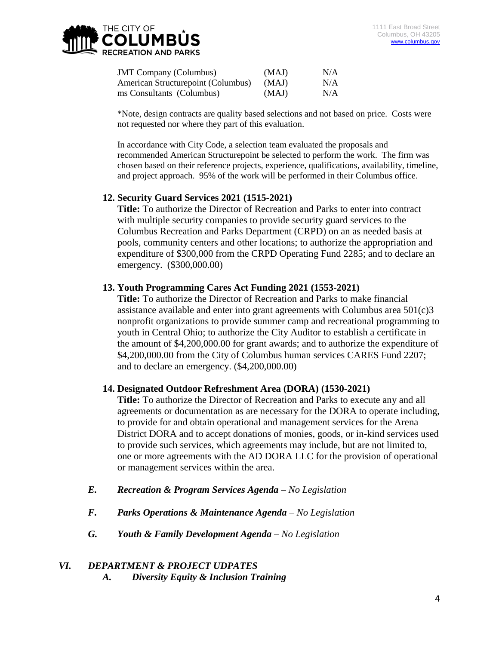

| <b>JMT</b> Company (Columbus)      | (MAJ) | N/A |
|------------------------------------|-------|-----|
| American Structurepoint (Columbus) | (MAJ) | N/A |
| ms Consultants (Columbus)          | (MAJ) | N/A |

\*Note, design contracts are quality based selections and not based on price. Costs were not requested nor where they part of this evaluation.

In accordance with City Code, a selection team evaluated the proposals and recommended American Structurepoint be selected to perform the work. The firm was chosen based on their reference projects, experience, qualifications, availability, timeline, and project approach. 95% of the work will be performed in their Columbus office.

#### **12. Security Guard Services 2021 (1515-2021)**

**Title:** To authorize the Director of Recreation and Parks to enter into contract with multiple security companies to provide security guard services to the Columbus Recreation and Parks Department (CRPD) on an as needed basis at pools, community centers and other locations; to authorize the appropriation and expenditure of \$300,000 from the CRPD Operating Fund 2285; and to declare an emergency. (\$300,000.00)

#### **13. Youth Programming Cares Act Funding 2021 (1553-2021)**

**Title:** To authorize the Director of Recreation and Parks to make financial assistance available and enter into grant agreements with Columbus area 501(c)3 nonprofit organizations to provide summer camp and recreational programming to youth in Central Ohio; to authorize the City Auditor to establish a certificate in the amount of \$4,200,000.00 for grant awards; and to authorize the expenditure of \$4,200,000.00 from the City of Columbus human services CARES Fund 2207; and to declare an emergency. (\$4,200,000.00)

#### **14. Designated Outdoor Refreshment Area (DORA) (1530-2021)**

**Title:** To authorize the Director of Recreation and Parks to execute any and all agreements or documentation as are necessary for the DORA to operate including, to provide for and obtain operational and management services for the Arena District DORA and to accept donations of monies, goods, or in-kind services used to provide such services, which agreements may include, but are not limited to, one or more agreements with the AD DORA LLC for the provision of operational or management services within the area.

- *E. Recreation & Program Services Agenda – No Legislation*
- *F. Parks Operations & Maintenance Agenda – No Legislation*
- *G. Youth & Family Development Agenda – No Legislation*

## *VI. DEPARTMENT & PROJECT UDPATES*

*A. Diversity Equity & Inclusion Training*